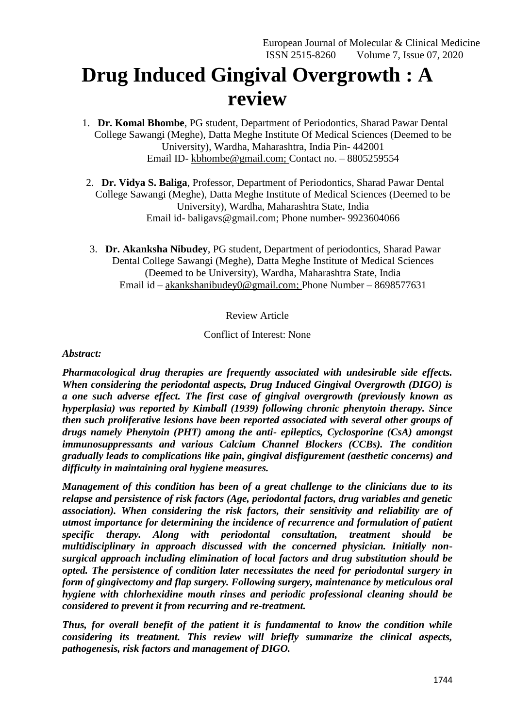## **Drug Induced Gingival Overgrowth : A review**

- 1. **Dr. Komal Bhombe**, PG student, Department of Periodontics, Sharad Pawar Dental College Sawangi (Meghe), Datta Meghe Institute Of Medical Sciences (Deemed to be University), Wardha, Maharashtra, India Pin- 442001 Email ID- [kbhombe@gmail.com;](mailto:kbhombe@gmail.com) Contact no. – 8805259554
- 2. **Dr. Vidya S. Baliga**, Professor, Department of Periodontics, Sharad Pawar Dental College Sawangi (Meghe), Datta Meghe Institute of Medical Sciences (Deemed to be University), Wardha, Maharashtra State, India Email id- [baligavs@gmail.com;](mailto:baligavs@gmail.com) Phone number- 9923604066
- 3. **Dr. Akanksha Nibudey**, PG student, Department of periodontics, Sharad Pawar Dental College Sawangi (Meghe), Datta Meghe Institute of Medical Sciences (Deemed to be University), Wardha, Maharashtra State, India Email id – [akankshanibudey0@gmail.com;](mailto:akankshanibudey0@gmail.com) Phone Number – 8698577631

## Review Article

## Conflict of Interest: None

#### *Abstract:*

*Pharmacological drug therapies are frequently associated with undesirable side effects. When considering the periodontal aspects, Drug Induced Gingival Overgrowth (DIGO) is a one such adverse effect. The first case of gingival overgrowth (previously known as hyperplasia) was reported by Kimball (1939) following chronic phenytoin therapy. Since then such proliferative lesions have been reported associated with several other groups of drugs namely Phenytoin (PHT) among the anti- epileptics, Cyclosporine (CsA) amongst immunosuppressants and various Calcium Channel Blockers (CCBs). The condition gradually leads to complications like pain, gingival disfigurement (aesthetic concerns) and difficulty in maintaining oral hygiene measures.*

*Management of this condition has been of a great challenge to the clinicians due to its relapse and persistence of risk factors (Age, periodontal factors, drug variables and genetic association). When considering the risk factors, their sensitivity and reliability are of utmost importance for determining the incidence of recurrence and formulation of patient specific therapy. Along with periodontal consultation, treatment should be multidisciplinary in approach discussed with the concerned physician. Initially nonsurgical approach including elimination of local factors and drug substitution should be opted. The persistence of condition later necessitates the need for periodontal surgery in form of gingivectomy and flap surgery. Following surgery, maintenance by meticulous oral hygiene with chlorhexidine mouth rinses and periodic professional cleaning should be considered to prevent it from recurring and re-treatment.*

*Thus, for overall benefit of the patient it is fundamental to know the condition while considering its treatment. This review will briefly summarize the clinical aspects, pathogenesis, risk factors and management of DIGO.*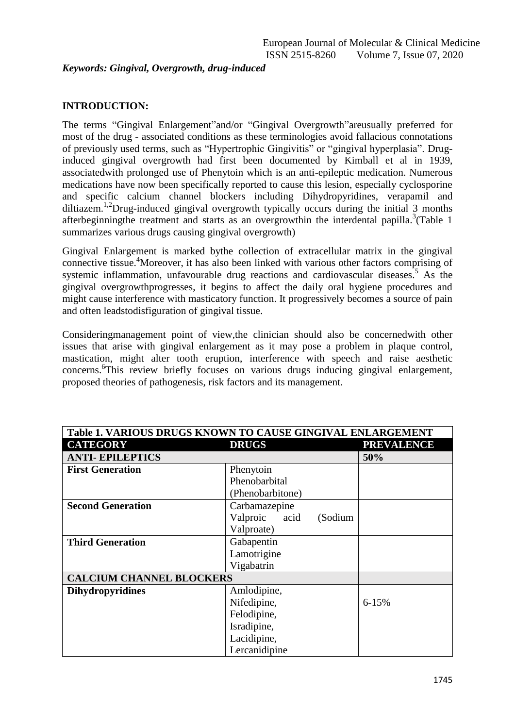## *Keywords: Gingival, Overgrowth, drug-induced*

## **INTRODUCTION:**

The terms "Gingival Enlargement"and/or "Gingival Overgrowth"areusually preferred for most of the drug - associated conditions as these terminologies avoid fallacious connotations of previously used terms, such as "Hypertrophic Gingivitis" or "gingival hyperplasia". Druginduced gingival overgrowth had first been documented by Kimball et al in 1939, associatedwith prolonged use of Phenytoin which is an anti-epileptic medication. Numerous medications have now been specifically reported to cause this lesion, especially cyclosporine and specific calcium channel blockers including Dihydropyridines, verapamil and diltiazem.<sup>1,2</sup>Drug-induced gingival overgrowth typically occurs during the initial 3 months afterbeginningthe treatment and starts as an overgrowthin the interdental papilla.<sup>3</sup>(Table 1 summarizes various drugs causing gingival overgrowth)

Gingival Enlargement is marked bythe collection of extracellular matrix in the gingival connective tissue.<sup>4</sup>Moreover, it has also been linked with various other factors comprising of systemic inflammation, unfavourable drug reactions and cardiovascular diseases.<sup>5</sup> As the gingival overgrowthprogresses, it begins to affect the daily oral hygiene procedures and might cause interference with masticatory function. It progressively becomes a source of pain and often leadstodisfiguration of gingival tissue.

Consideringmanagement point of view,the clinician should also be concernedwith other issues that arise with gingival enlargement as it may pose a problem in plaque control, mastication, might alter tooth eruption, interference with speech and raise aesthetic concerns. 6 This review briefly focuses on various drugs inducing gingival enlargement, proposed theories of pathogenesis, risk factors and its management.

| Table 1. VARIOUS DRUGS KNOWN TO CAUSE GINGIVAL ENLARGEMENT |                             |                   |  |
|------------------------------------------------------------|-----------------------------|-------------------|--|
| <b>CATEGORY</b>                                            | <b>DRUGS</b>                | <b>PREVALENCE</b> |  |
| <b>ANTI-EPILEPTICS</b>                                     |                             | 50%               |  |
| <b>First Generation</b>                                    | Phenytoin                   |                   |  |
|                                                            | Phenobarbital               |                   |  |
|                                                            | (Phenobarbitone)            |                   |  |
| <b>Second Generation</b>                                   | Carbamazepine               |                   |  |
|                                                            | Valproic<br>acid<br>(Sodium |                   |  |
|                                                            | Valproate)                  |                   |  |
| <b>Third Generation</b>                                    | Gabapentin                  |                   |  |
|                                                            | Lamotrigine                 |                   |  |
|                                                            | Vigabatrin                  |                   |  |
| <b>CALCIUM CHANNEL BLOCKERS</b>                            |                             |                   |  |
| <b>Dihydropyridines</b>                                    | Amlodipine,                 |                   |  |
|                                                            | Nifedipine,<br>$6 - 15%$    |                   |  |
|                                                            | Felodipine,                 |                   |  |
|                                                            | Isradipine,                 |                   |  |
|                                                            | Lacidipine,                 |                   |  |
|                                                            | Lercanidipine               |                   |  |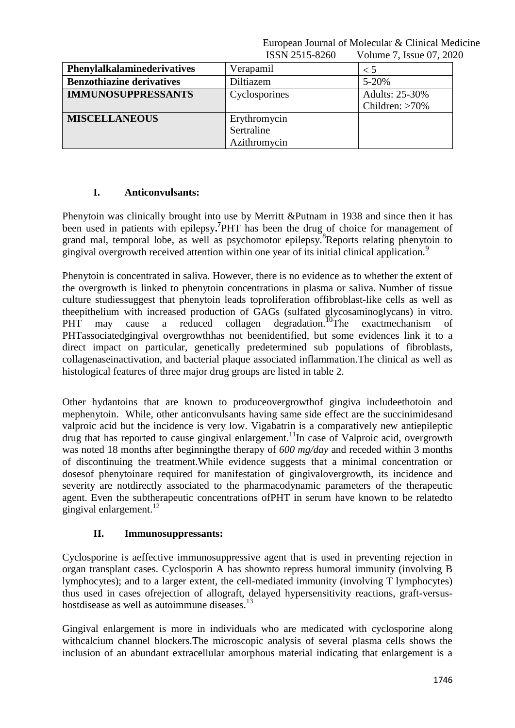| Phenylalkalaminederivatives      | Verapamil     | $\leq 5$          |
|----------------------------------|---------------|-------------------|
| <b>Benzothiazine derivatives</b> | Diltiazem     | $5 - 20%$         |
| <b>IMMUNOSUPPRESSANTS</b>        | Cyclosporines | Adults: 25-30%    |
|                                  |               | Children: $>70\%$ |
| <b>MISCELLANEOUS</b>             | Erythromycin  |                   |
|                                  | Sertraline    |                   |
|                                  | Azithromycin  |                   |

## **I. Anticonvulsants:**

Phenytoin was clinically brought into use by Merritt &Putnam in 1938 and since then it has been used in patients with epilepsy**. 7** PHT has been the drug of choice for management of grand mal, temporal lobe, as well as psychomotor epilepsy.<sup>8</sup>Reports relating phenytoin to gingival overgrowth received attention within one year of its initial clinical application.<sup>9</sup>

Phenytoin is concentrated in saliva. However, there is no evidence as to whether the extent of the overgrowth is linked to phenytoin concentrations in plasma or saliva. Number of tissue culture studiessuggest that phenytoin leads toproliferation offibroblast-like cells as well as theepithelium with increased production of GAGs (sulfated glycosaminoglycans) in vitro. PHT may cause a reduced collagen degradation.<sup>10</sup>The exactmechanism of PHTassociatedgingival overgrowthhas not beenidentified, but some evidences link it to a direct impact on particular, genetically predetermined sub populations of fibroblasts, collagenaseinactivation, and bacterial plaque associated inflammation.The clinical as well as histological features of three major drug groups are listed in table 2.

Other hydantoins that are known to produceovergrowthof gingiva includeethotoin and mephenytoin. While, other anticonvulsants having same side effect are the succinimidesand valproic acid but the incidence is very low. Vigabatrin is a comparatively new antiepileptic drug that has reported to cause gingival enlargement.<sup>11</sup>In case of Valproic acid, overgrowth was noted 18 months after beginningthe therapy of *600 mg/day* and receded within 3 months of discontinuing the treatment.While evidence suggests that a minimal concentration or dosesof phenytoinare required for manifestation of gingivalovergrowth, its incidence and severity are notdirectly associated to the pharmacodynamic parameters of the therapeutic agent. Even the subtherapeutic concentrations ofPHT in serum have known to be relatedto gingival enlargement. $^{12}$ 

#### **II. Immunosuppressants:**

Cyclosporine is aeffective immunosuppressive agent that is used in preventing rejection in organ transplant cases. Cyclosporin A has shownto repress humoral immunity (involving B lymphocytes); and to a larger extent, the cell-mediated immunity (involving T lymphocytes) thus used in cases ofrejection of allograft, delayed hypersensitivity reactions, graft-versushostdisease as well as autoimmune diseases.<sup>13</sup>

Gingival enlargement is more in individuals who are medicated with cyclosporine along withcalcium channel blockers.The microscopic analysis of several plasma cells shows the inclusion of an abundant extracellular amorphous material indicating that enlargement is a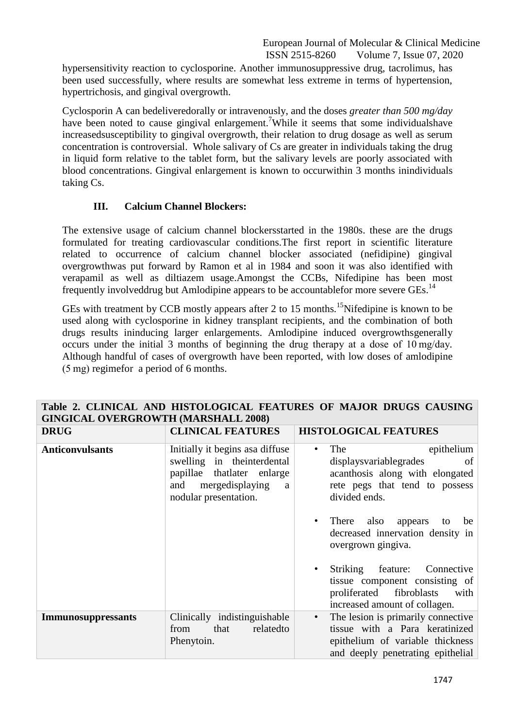hypersensitivity reaction to cyclosporine. Another immunosuppressive drug, tacrolimus, has been used successfully, where results are somewhat less extreme in terms of hypertension, hypertrichosis, and gingival overgrowth.

Cyclosporin A can bedeliveredorally or intravenously, and the doses *greater than 500 mg/day*  have been noted to cause gingival enlargement. <sup>7</sup>While it seems that some individualshave increasedsusceptibility to gingival overgrowth, their relation to drug dosage as well as serum concentration is controversial. Whole salivary of Cs are greater in individuals taking the drug in liquid form relative to the tablet form, but the salivary levels are poorly associated with blood concentrations. Gingival enlargement is known to occurwithin 3 months inindividuals taking Cs.

## **III. Calcium Channel Blockers:**

The extensive usage of calcium channel blockersstarted in the 1980s. these are the drugs formulated for treating cardiovascular conditions.The first report in scientific literature related to occurrence of calcium channel blocker associated (nefidipine) gingival overgrowthwas put forward by Ramon et al in 1984 and soon it was also identified with verapamil as well as diltiazem usage.Amongst the CCBs, Nifedipine has been most frequently involveddrug but Amlodipine appears to be accountablefor more severe GEs.<sup>14</sup>

GEs with treatment by CCB mostly appears after 2 to 15 months.<sup>15</sup>Nifedipine is known to be used along with cyclosporine in kidney transplant recipients, and the combination of both drugs results ininducing larger enlargements. Amlodipine induced overgrowthsgenerally occurs under the initial 3 months of beginning the drug therapy at a dose of 10 mg/day*.*  Although handful of cases of overgrowth have been reported, with low doses of amlodipine (5 mg) regimefor a period of 6 months.

| <b>GINGICAL OVERGROWTH (MARSHALL 2008)</b> |                                                                                                                                                    |                                                                                                                                                                                                          |  |
|--------------------------------------------|----------------------------------------------------------------------------------------------------------------------------------------------------|----------------------------------------------------------------------------------------------------------------------------------------------------------------------------------------------------------|--|
| <b>DRUG</b>                                | <b>CLINICAL FEATURES</b>                                                                                                                           | <b>HISTOLOGICAL FEATURES</b>                                                                                                                                                                             |  |
| <b>Anticonvulsants</b>                     | Initially it begins as adiffuse<br>swelling in the interdental<br>papillae that later enlarge<br>and mergedisplaying<br>a<br>nodular presentation. | epithelium<br>The<br>$\bullet$<br>displays variable grades<br>of<br>acanthosis along with elongated<br>rete pegs that tend to possess<br>divided ends.<br>There also<br>appears<br>be<br>$\bullet$<br>to |  |
|                                            |                                                                                                                                                    | decreased innervation density in<br>overgrown gingiva.                                                                                                                                                   |  |
|                                            |                                                                                                                                                    | Striking<br>feature: Connective<br>$\bullet$<br>tissue component consisting of<br>proliferated fibroblasts<br>with<br>increased amount of collagen.                                                      |  |
| <b>Immunosuppressants</b>                  | Clinically indistinguishable<br>relatedto<br>from<br>that<br>Phenytoin.                                                                            | The lesion is primarily connective.<br>$\bullet$<br>tissue with a Para keratinized<br>epithelium of variable thickness<br>and deeply penetrating epithelial                                              |  |

# **Table 2. CLINICAL AND HISTOLOGICAL FEATURES OF MAJOR DRUGS CAUSING**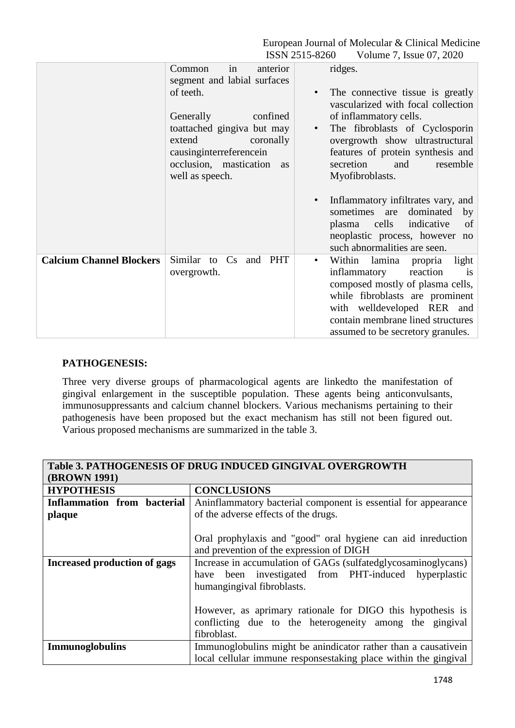|                | European Journal of Molecular & Clinical Medicine |
|----------------|---------------------------------------------------|
| ISSN 2515-8260 | Volume 7, Issue 07, 2020                          |

|                                 | Common<br>anterior<br>in<br>segment and labial surfaces<br>of teeth.<br>Generally<br>confined<br>toattached gingiva but may<br>extend<br>coronally<br>causing interreference in<br>occlusion, mastication<br><b>as</b><br>well as speech. | ridges.<br>The connective tissue is greatly<br>$\bullet$<br>vascularized with focal collection<br>of inflammatory cells.<br>The fibroblasts of Cyclosporin<br>overgrowth show ultrastructural<br>features of protein synthesis and<br>secretion<br>resemble<br>and<br>Myofibroblasts.<br>Inflammatory infiltrates vary, and<br>$\bullet$<br>sometimes are dominated<br>by |
|---------------------------------|-------------------------------------------------------------------------------------------------------------------------------------------------------------------------------------------------------------------------------------------|---------------------------------------------------------------------------------------------------------------------------------------------------------------------------------------------------------------------------------------------------------------------------------------------------------------------------------------------------------------------------|
|                                 |                                                                                                                                                                                                                                           | indicative<br>plasma cells<br>of<br>neoplastic process, however no<br>such abnormalities are seen.                                                                                                                                                                                                                                                                        |
| <b>Calcium Channel Blockers</b> | Similar to Cs<br>and PHT<br>overgrowth.                                                                                                                                                                                                   | Within<br>lamina<br>propria<br>light<br>$\bullet$<br>reaction<br>inflammatory<br>is<br>composed mostly of plasma cells,<br>while fibroblasts are prominent<br>with welldeveloped RER and<br>contain membrane lined structures<br>assumed to be secretory granules.                                                                                                        |

#### **PATHOGENESIS:**

Three very diverse groups of pharmacological agents are linkedto the manifestation of gingival enlargement in the susceptible population. These agents being anticonvulsants, immunosuppressants and calcium channel blockers. Various mechanisms pertaining to their pathogenesis have been proposed but the exact mechanism has still not been figured out. Various proposed mechanisms are summarized in the table 3.

| <b>Table 3. PATHOGENESIS OF DRUG INDUCED GINGIVAL OVERGROWTH</b> |                                                                                                                                                     |  |
|------------------------------------------------------------------|-----------------------------------------------------------------------------------------------------------------------------------------------------|--|
| <b>(BROWN 1991)</b>                                              |                                                                                                                                                     |  |
| <b>HYPOTHESIS</b>                                                | <b>CONCLUSIONS</b>                                                                                                                                  |  |
| Inflammation from bacterial                                      | Aninflammatory bacterial component is essential for appearance                                                                                      |  |
| plaque                                                           | of the adverse effects of the drugs.                                                                                                                |  |
|                                                                  | Oral prophylaxis and "good" oral hygiene can aid inreduction<br>and prevention of the expression of DIGH                                            |  |
| Increased production of gags                                     | Increase in accumulation of GAGs (sulfatedglycosaminoglycans)<br>have been investigated from PHT-induced hyperplastic<br>humangingival fibroblasts. |  |
|                                                                  | However, as aprimary rationale for DIGO this hypothesis is<br>conflicting due to the heterogeneity among the gingival<br>fibroblast.                |  |
| Immunoglobulins                                                  | Immunoglobulins might be anindicator rather than a causative in                                                                                     |  |
|                                                                  | local cellular immune responsestaking place within the gingival                                                                                     |  |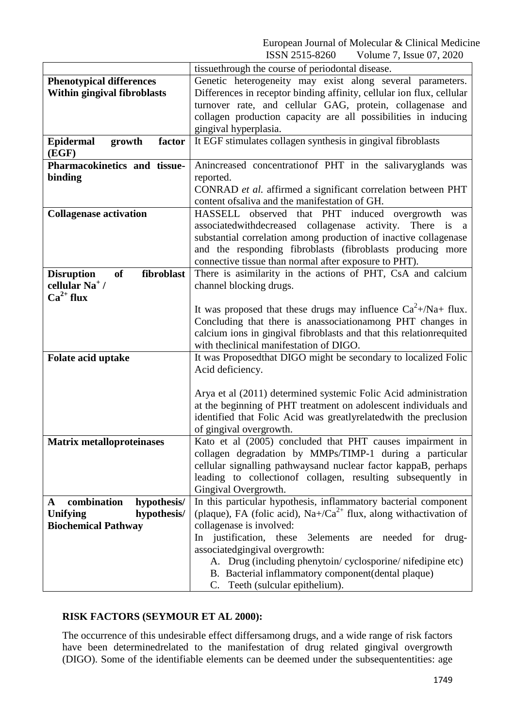|                                              | tissuethrough the course of periodontal disease.                               |  |
|----------------------------------------------|--------------------------------------------------------------------------------|--|
| <b>Phenotypical differences</b>              | Genetic heterogeneity may exist along several parameters.                      |  |
| Within gingival fibroblasts                  | Differences in receptor binding affinity, cellular ion flux, cellular          |  |
|                                              | turnover rate, and cellular GAG, protein, collagenase and                      |  |
|                                              | collagen production capacity are all possibilities in inducing                 |  |
|                                              | gingival hyperplasia.                                                          |  |
| <b>Epidermal</b><br>growth<br>factor         | It EGF stimulates collagen synthesis in gingival fibroblasts                   |  |
| (EGF)                                        |                                                                                |  |
| Pharmacokinetics and tissue-                 | Anincreased concentration of PHT in the salivaryglands was                     |  |
| binding                                      | reported.                                                                      |  |
|                                              | CONRAD et al. affirmed a significant correlation between PHT                   |  |
|                                              | content of saliva and the manifestation of GH.                                 |  |
| <b>Collagenase activation</b>                | HASSELL observed that PHT induced overgrowth was                               |  |
|                                              | associated with decreased collagenase activity. There is a                     |  |
|                                              | substantial correlation among production of inactive collagenase               |  |
|                                              | and the responding fibroblasts (fibroblasts producing more                     |  |
|                                              | connective tissue than normal after exposure to PHT).                          |  |
| fibroblast<br><b>of</b><br><b>Disruption</b> | There is asimilarity in the actions of PHT, CsA and calcium                    |  |
| cellular Na <sup>+</sup> /                   | channel blocking drugs.                                                        |  |
| $Ca^{2+}$ flux                               |                                                                                |  |
|                                              | It was proposed that these drugs may influence $Ca^2 + /Na + flux$ .           |  |
|                                              | Concluding that there is anassociationamong PHT changes in                     |  |
|                                              | calcium ions in gingival fibroblasts and that this relationrequited            |  |
|                                              | with the<br>clinical manifestation of DIGO.                                    |  |
| Folate acid uptake                           | It was Proposed that DIGO might be secondary to localized Folic                |  |
|                                              | Acid deficiency.                                                               |  |
|                                              |                                                                                |  |
|                                              | Arya et al (2011) determined systemic Folic Acid administration                |  |
|                                              | at the beginning of PHT treatment on adolescent individuals and                |  |
|                                              | identified that Folic Acid was greatlyrelated with the preclusion              |  |
|                                              | of gingival overgrowth.                                                        |  |
| <b>Matrix metalloproteinases</b>             | Kato et al (2005) concluded that PHT causes impairment in                      |  |
|                                              | collagen degradation by MMPs/TIMP-1 during a particular                        |  |
|                                              | cellular signalling pathwaysand nuclear factor kappaB, perhaps                 |  |
|                                              | leading to collection of collagen, resulting subsequently in                   |  |
|                                              | Gingival Overgrowth.                                                           |  |
| combination<br>hypothesis/<br>$\mathbf{A}$   | In this particular hypothesis, inflammatory bacterial component                |  |
| Unifying<br>hypothesis/                      | (plaque), FA (folic acid), Na+/Ca <sup>2+</sup> flux, along with activation of |  |
| <b>Biochemical Pathway</b>                   | collagenase is involved:                                                       |  |
|                                              | In justification, these<br>3elements<br>needed for drug-<br>are                |  |
|                                              | associatedgingival overgrowth:                                                 |  |
|                                              | A. Drug (including phenytoin/cyclosporine/nifedipine etc)                      |  |
|                                              | B. Bacterial inflammatory component (dental plaque)                            |  |
|                                              | Teeth (sulcular epithelium).<br>C.                                             |  |

## **RISK FACTORS (SEYMOUR ET AL 2000):**

The occurrence of this undesirable effect differsamong drugs, and a wide range of risk factors have been determinedrelated to the manifestation of drug related gingival overgrowth (DIGO). Some of the identifiable elements can be deemed under the subsequententities: age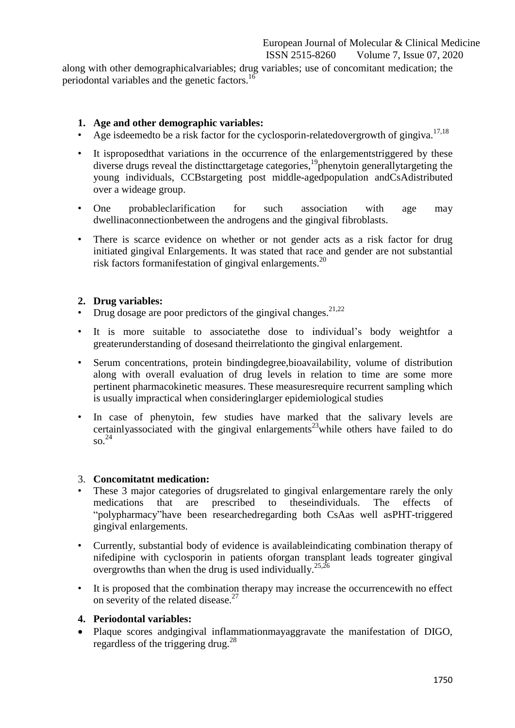along with other demographicalvariables; drug variables; use of concomitant medication; the periodontal variables and the genetic factors.<sup>16</sup>

## **1. Age and other demographic variables:**

- Age isdeemedto be a risk factor for the cyclosporin-relatedovergrowth of gingiva.<sup>17,18</sup>
- It isproposedthat variations in the occurrence of the enlargementstriggered by these diverse drugs reveal the distincttargetage categories,<sup>19</sup>phenytoin generallytargeting the young individuals, CCBstargeting post middle-agedpopulation andCsAdistributed over a wideage group.
- One probableclarification for such association with age may dwellinaconnectionbetween the androgens and the gingival fibroblasts.
- There is scarce evidence on whether or not gender acts as a risk factor for drug initiated gingival Enlargements. It was stated that race and gender are not substantial risk factors formanifestation of gingival enlargements. 20

## **2. Drug variables:**

- Drug dosage are poor predictors of the gingival changes.<sup>21,22</sup>
- It is more suitable to associatethe dose to individual's body weightfor a greaterunderstanding of dosesand theirrelationto the gingival enlargement.
- Serum concentrations, protein bindingdegree,bioavailability, volume of distribution along with overall evaluation of drug levels in relation to time are some more pertinent pharmacokinetic measures. These measuresrequire recurrent sampling which is usually impractical when consideringlarger epidemiological studies
- In case of phenytoin, few studies have marked that the salivary levels are certainlyassociated with the gingival enlargements<sup>23</sup>while others have failed to do so. 24

#### 3. **Concomitatnt medication:**

- These 3 major categories of drugsrelated to gingival enlargementare rarely the only medications that are prescribed to theseindividuals. The effects of "polypharmacy"have been researchedregarding both CsAas well asPHT-triggered gingival enlargements.
- Currently, substantial body of evidence is availableindicating combination therapy of nifedipine with cyclosporin in patients oforgan transplant leads togreater gingival overgrowths than when the drug is used individually.<sup>25,26</sup>
- It is proposed that the combination therapy may increase the occurrencewith no effect on severity of the related disease.<sup>27</sup>

#### **4. Periodontal variables:**

 Plaque scores andgingival inflammationmayaggravate the manifestation of DIGO, regardless of the triggering drug.<sup>28</sup>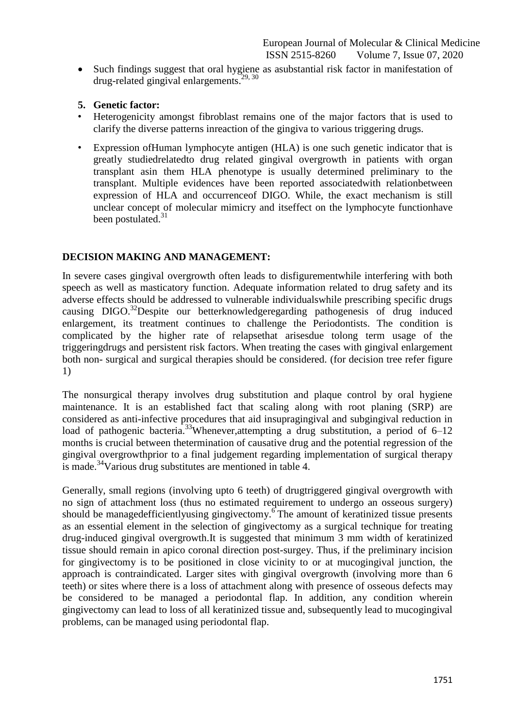• Such findings suggest that oral hygiene as asubstantial risk factor in manifestation of drug-related gingival enlargements. 29, 30

## **5. Genetic factor:**

- Heterogenicity amongst fibroblast remains one of the major factors that is used to clarify the diverse patterns inreaction of the gingiva to various triggering drugs.
- Expression ofHuman lymphocyte antigen (HLA) is one such genetic indicator that is greatly studiedrelatedto drug related gingival overgrowth in patients with organ transplant asin them HLA phenotype is usually determined preliminary to the transplant. Multiple evidences have been reported associatedwith relationbetween expression of HLA and occurrenceof DIGO. While, the exact mechanism is still unclear concept of molecular mimicry and itseffect on the lymphocyte functionhave been postulated.<sup>31</sup>

## **DECISION MAKING AND MANAGEMENT:**

In severe cases gingival overgrowth often leads to disfigurementwhile interfering with both speech as well as masticatory function. Adequate information related to drug safety and its adverse effects should be addressed to vulnerable individualswhile prescribing specific drugs causing DIGO. <sup>32</sup>Despite our betterknowledgeregarding pathogenesis of drug induced enlargement, its treatment continues to challenge the Periodontists. The condition is complicated by the higher rate of relapsethat arisesdue tolong term usage of the triggeringdrugs and persistent risk factors. When treating the cases with gingival enlargement both non- surgical and surgical therapies should be considered. (for decision tree refer figure 1)

The nonsurgical therapy involves drug substitution and plaque control by oral hygiene maintenance. It is an established fact that scaling along with root planing (SRP) are considered as anti-infective procedures that aid insupragingival and subgingival reduction in load of pathogenic bacteria.<sup>33</sup>Whenever,attempting a drug substitution, a period of 6–12 months is crucial between thetermination of causative drug and the potential regression of the gingival overgrowthprior to a final judgement regarding implementation of surgical therapy is made.<sup>34</sup>Various drug substitutes are mentioned in table 4.

Generally, small regions (involving upto 6 teeth) of drugtriggered gingival overgrowth with no sign of attachment loss (thus no estimated requirement to undergo an osseous surgery) should be managedefficientlyusing gingivectomy.<sup>6</sup>The amount of keratinized tissue presents as an essential element in the selection of gingivectomy as a surgical technique for treating drug-induced gingival overgrowth.It is suggested that minimum 3 mm width of keratinized tissue should remain in apico coronal direction post-surgey. Thus, if the preliminary incision for gingivectomy is to be positioned in close vicinity to or at mucogingival junction, the approach is contraindicated. Larger sites with gingival overgrowth (involving more than 6 teeth) or sites where there is a loss of attachment along with presence of osseous defects may be considered to be managed a periodontal flap. In addition, any condition wherein gingivectomy can lead to loss of all keratinized tissue and, subsequently lead to mucogingival problems, can be managed using periodontal flap.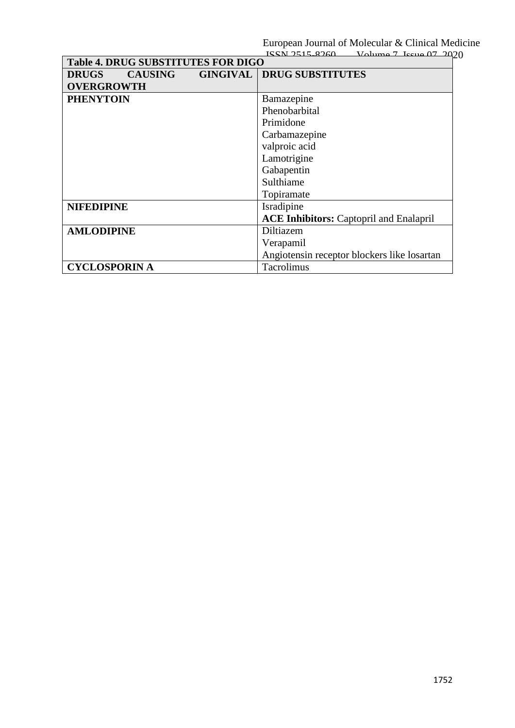| <b>Table 4. DRUG SUBSTITUTES FOR DIGO</b> |                |  |                                                |
|-------------------------------------------|----------------|--|------------------------------------------------|
| <b>DRUGS</b>                              | <b>CAUSING</b> |  | <b>GINGIVAL   DRUG SUBSTITUTES</b>             |
| <b>OVERGROWTH</b>                         |                |  |                                                |
| <b>PHENYTOIN</b>                          |                |  | Bamazepine                                     |
|                                           |                |  | Phenobarbital                                  |
|                                           |                |  | Primidone                                      |
|                                           |                |  | Carbamazepine                                  |
|                                           |                |  | valproic acid                                  |
|                                           |                |  | Lamotrigine                                    |
|                                           |                |  | Gabapentin                                     |
|                                           |                |  | Sulthiame                                      |
|                                           |                |  | Topiramate                                     |
| <b>NIFEDIPINE</b>                         |                |  | Isradipine                                     |
|                                           |                |  | <b>ACE Inhibitors:</b> Captopril and Enalapril |
| <b>AMLODIPINE</b>                         |                |  | Diltiazem                                      |
|                                           |                |  | Verapamil                                      |
|                                           |                |  | Angiotensin receptor blockers like losartan    |
| <b>CYCLOSPORIN A</b>                      |                |  | Tacrolimus                                     |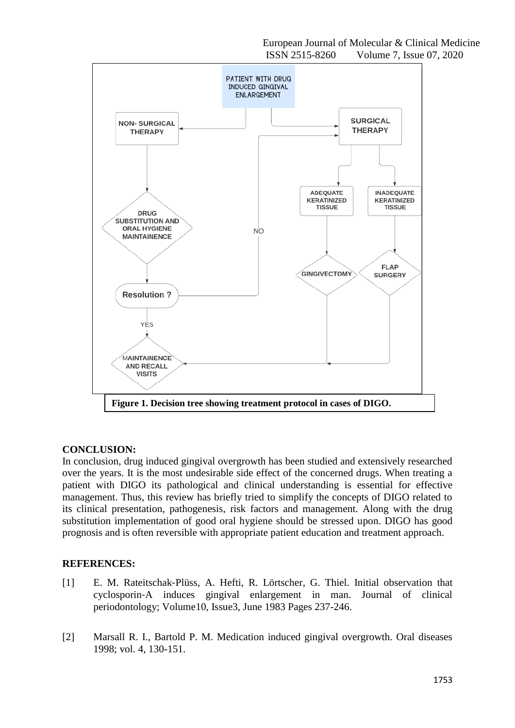

#### **CONCLUSION:**

In conclusion, drug induced gingival overgrowth has been studied and extensively researched over the years. It is the most undesirable side effect of the concerned drugs. When treating a patient with DIGO its pathological and clinical understanding is essential for effective management. Thus, this review has briefly tried to simplify the concepts of DIGO related to its clinical presentation, pathogenesis, risk factors and management. Along with the drug substitution implementation of good oral hygiene should be stressed upon. DIGO has good prognosis and is often reversible with appropriate patient education and treatment approach.

## **REFERENCES:**

- [1] [E. M. Rateitschak](https://onlinelibrary.wiley.com/action/doSearch?ContribAuthorStored=Rateitschak-Pl%C3%BCss%2C+E+M)‐Plüss, [A. Hefti,](https://onlinelibrary.wiley.com/action/doSearch?ContribAuthorStored=Hefti%2C+A) [R. Lörtscher,](https://onlinelibrary.wiley.com/action/doSearch?ContribAuthorStored=L%C3%B6rtscher%2C+R) [G. Thiel.](https://onlinelibrary.wiley.com/action/doSearch?ContribAuthorStored=Thiel%2C+G) Initial observation that cyclosporin‐A induces gingival enlargement in man. Journal of clinical periodontology; [Volume10, Issue3,](https://onlinelibrary.wiley.com/toc/1600051x/1983/10/3) June 1983 Pages 237-246.
- [2] Marsall R. I., Bartold P. M. Medication induced gingival overgrowth. Oral diseases 1998; vol. 4, 130-151.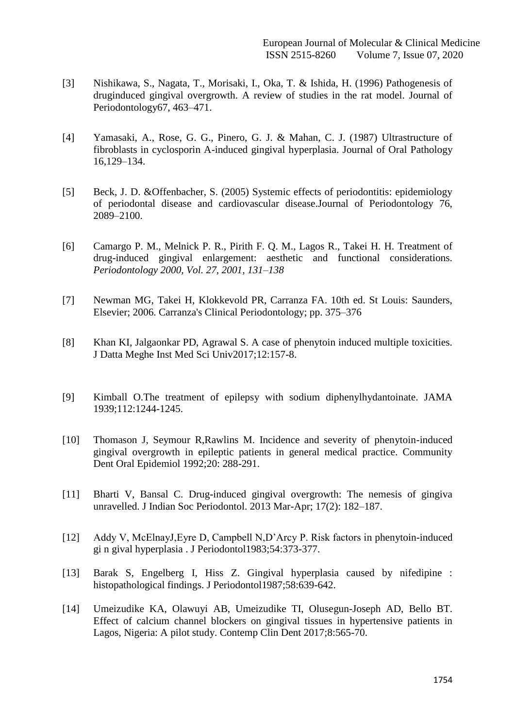- [3] Nishikawa, S., Nagata, T., Morisaki, I., Oka, T. & Ishida, H. (1996) Pathogenesis of druginduced gingival overgrowth. A review of studies in the rat model. Journal of Periodontology67, 463–471.
- [4] Yamasaki, A., Rose, G. G., Pinero, G. J. & Mahan, C. J. (1987) Ultrastructure of fibroblasts in cyclosporin A-induced gingival hyperplasia. Journal of Oral Pathology 16,129–134.
- [5] Beck, J. D. &Offenbacher, S. (2005) Systemic effects of periodontitis: epidemiology of periodontal disease and cardiovascular disease.Journal of Periodontology 76, 2089–2100.
- [6] Camargo P. M., Melnick P. R., Pirith F. Q. M., Lagos R., Takei H. H. Treatment of drug-induced gingival enlargement: aesthetic and functional considerations. *Periodontology 2000, Vol. 27, 2001, 131–138*
- [7] Newman MG, Takei H, Klokkevold PR, Carranza FA. 10th ed. St Louis: Saunders, Elsevier; 2006. Carranza's Clinical Periodontology; pp. 375–376
- [8] Khan KI, Jalgaonkar PD, Agrawal S. A case of phenytoin induced multiple toxicities. J Datta Meghe Inst Med Sci Univ2017;12:157-8.
- [9] Kimball O.The treatment of epilepsy with sodium diphenylhydantoinate. JAMA 1939;112:1244-1245.
- [10] Thomason J, Seymour R,Rawlins M. Incidence and severity of phenytoin-induced gingival overgrowth in epileptic patients in general medical practice. Community Dent Oral Epidemiol 1992;20: 288-291.
- [11] Bharti V, Bansal C. Drug-induced gingival overgrowth: The nemesis of gingiva unravelled. [J Indian Soc Periodontol.](https://www.ncbi.nlm.nih.gov/pmc/articles/PMC3713748/) 2013 Mar-Apr; 17(2): 182–187.
- [12] Addy V, McElnayJ,Eyre D, Campbell N,D'Arcy P. Risk factors in phenytoin-induced gi n gival hyperplasia . J Periodontol1983;54:373-377.
- [13] Barak S, Engelberg I, Hiss Z. Gingival hyperplasia caused by nifedipine : histopathological findings. J Periodontol1987;58:639-642.
- [14] Umeizudike KA, Olawuyi AB, Umeizudike TI, Olusegun-Joseph AD, Bello BT. Effect of calcium channel blockers on gingival tissues in hypertensive patients in Lagos, Nigeria: A pilot study. Contemp Clin Dent 2017;8:565-70.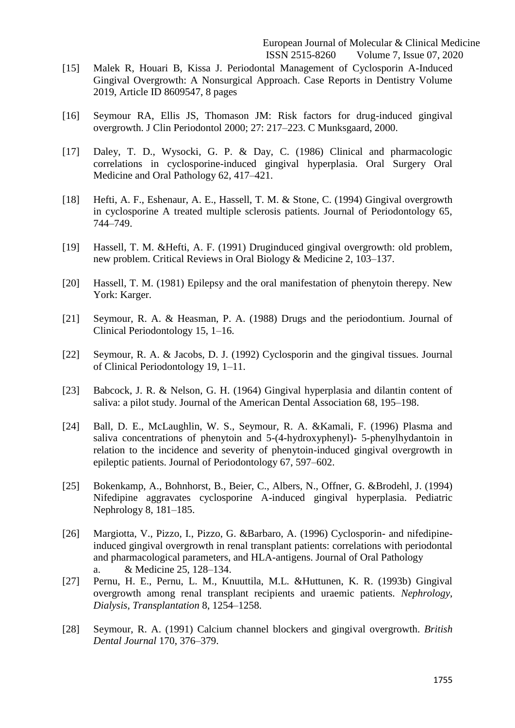- [15] Malek R, Houari B, Kissa J. Periodontal Management of Cyclosporin A-Induced Gingival Overgrowth: A Nonsurgical Approach. Case Reports in Dentistry Volume 2019, Article ID 8609547, 8 pages
- [16] Seymour RA, Ellis JS, Thomason JM: Risk factors for drug-induced gingival overgrowth. J Clin Periodontol 2000; 27: 217–223. C Munksgaard, 2000.
- [17] Daley, T. D., Wysocki, G. P. & Day, C. (1986) Clinical and pharmacologic correlations in cyclosporine-induced gingival hyperplasia. Oral Surgery Oral Medicine and Oral Pathology 62, 417–421.
- [18] Hefti, A. F., Eshenaur, A. E., Hassell, T. M. & Stone, C. (1994) Gingival overgrowth in cyclosporine A treated multiple sclerosis patients. Journal of Periodontology 65, 744–749.
- [19] Hassell, T. M. &Hefti, A. F. (1991) Druginduced gingival overgrowth: old problem, new problem. Critical Reviews in Oral Biology & Medicine 2, 103–137.
- [20] Hassell, T. M. (1981) Epilepsy and the oral manifestation of phenytoin therepy. New York: Karger.
- [21] Seymour, R. A. & Heasman, P. A. (1988) Drugs and the periodontium. Journal of Clinical Periodontology 15, 1–16.
- [22] Seymour, R. A. & Jacobs, D. J. (1992) Cyclosporin and the gingival tissues. Journal of Clinical Periodontology 19, 1–11.
- [23] Babcock, J. R. & Nelson, G. H. (1964) Gingival hyperplasia and dilantin content of saliva: a pilot study. Journal of the American Dental Association 68, 195–198.
- [24] Ball, D. E., McLaughlin, W. S., Seymour, R. A. &Kamali, F. (1996) Plasma and saliva concentrations of phenytoin and 5-(4-hydroxyphenyl)- 5-phenylhydantoin in relation to the incidence and severity of phenytoin-induced gingival overgrowth in epileptic patients. Journal of Periodontology 67, 597–602.
- [25] Bokenkamp, A., Bohnhorst, B., Beier, C., Albers, N., Offner, G. &Brodehl, J. (1994) Nifedipine aggravates cyclosporine A-induced gingival hyperplasia. Pediatric Nephrology 8, 181–185.
- [26] Margiotta, V., Pizzo, I., Pizzo, G. &Barbaro, A. (1996) Cyclosporin- and nifedipineinduced gingival overgrowth in renal transplant patients: correlations with periodontal and pharmacological parameters, and HLA-antigens. Journal of Oral Pathology a. & Medicine 25, 128–134.
- [27] Pernu, H. E., Pernu, L. M., Knuuttila, M.L. &Huttunen, K. R. (1993b) Gingival overgrowth among renal transplant recipients and uraemic patients. *Nephrology*, *Dialysis*, *Transplantation* 8, 1254–1258.
- [28] Seymour, R. A. (1991) Calcium channel blockers and gingival overgrowth. *British Dental Journal* 170, 376–379.